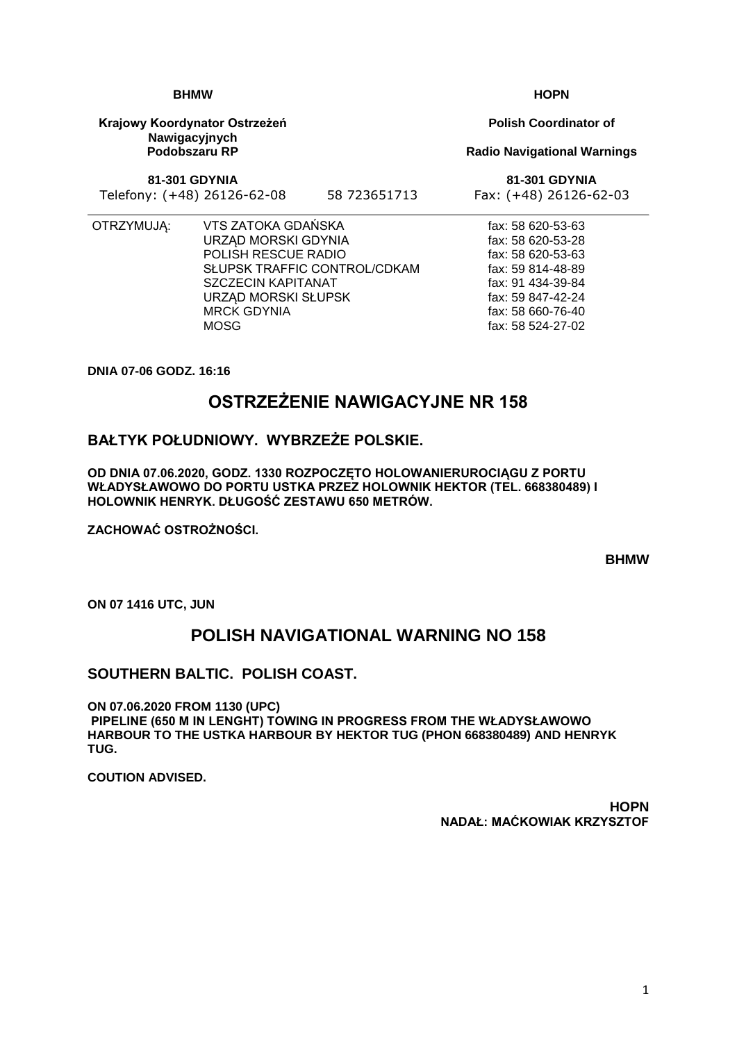1

**BHMW**

**Krajowy Koordynator Ostrzeżeń Nawigacyjnych Podobszaru RP**

**81-301 GDYNIA**

Telefony: (+48) 26126-62-08 58 723651713 Fax: (+48) 26126-62-03

- 
- OTRZYMUJĄ: VTS ZATOKA GDAŃSKA URZĄD MORSKI GDYNIA POLISH RESCUE RADIO SŁUPSK TRAFFIC CONTROL/CDKAM SZCZECIN KAPITANAT URZĄD MORSKI SŁUPSK MRCK GDYNIA MOSG

**DNIA 07-06 GODZ. 16:16**

# **OSTRZEŻENIE NAWIGACYJNE NR 158**

### **BAŁTYK POŁUDNIOWY. WYBRZEŻE POLSKIE.**

**OD DNIA 07.06.2020, GODZ. 1330 ROZPOCZĘTO HOLOWANIERUROCIĄGU Z PORTU WŁADYSŁAWOWO DO PORTU USTKA PRZEZ HOLOWNIK HEKTOR (TEL. 668380489) I HOLOWNIK HENRYK. DŁUGOŚĆ ZESTAWU 650 METRÓW.**

**ZACHOWAĆ OSTROŻNOŚCI.**

**BHMW**

**ON 07 1416 UTC, JUN**

## **POLISH NAVIGATIONAL WARNING NO 158**

### **SOUTHERN BALTIC. POLISH COAST.**

**ON 07.06.2020 FROM 1130 (UPC) PIPELINE (650 M IN LENGHT) TOWING IN PROGRESS FROM THE WŁADYSŁAWOWO HARBOUR TO THE USTKA HARBOUR BY HEKTOR TUG (PHON 668380489) AND HENRYK TUG.**

**COUTION ADVISED.**

**HOPN NADAŁ: MAĆKOWIAK KRZYSZTOF**

**HOPN**

**Polish Coordinator of**

#### **Radio Navigational Warnings**

**81-301 GDYNIA**

fax: 58 620-53-63 fax: 58 620-53-28 fax: 58 620-53-63 fax: 59 814-48-89 fax: 91 434-39-84 fax: 59 847-42-24 fax: 58 660-76-40 fax: 58 524-27-02